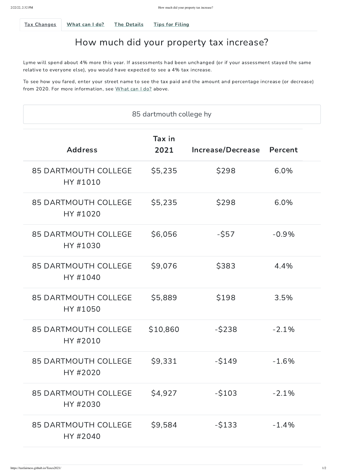<span id="page-0-0"></span>

Tax [Changes](#page-0-0) What can I do? The Details Tips for Filing

# How much did your property tax increase?

To see how you fared, enter your street name to see the tax paid and the amount and percentage increase (or decrease) from 2020. For more information, see What can I do? above.

Lyme will spend about 4% more this year. If assessments had been unchanged (or if your assessment stayed the same relative to everyone else), you would have expected to see a 4% tax increase.

#### 85 DARTMOUTH COLLEGE HY #2030  $$4,927$   $$103$   $$-2.1\%$

| 85 dartmouth college hy                 |                |                   |               |  |
|-----------------------------------------|----------------|-------------------|---------------|--|
| <b>Address</b>                          | Tax in<br>2021 | Increase/Decrease | Percent       |  |
| <b>85 DARTMOUTH COLLEGE</b><br>HY #1010 | \$5,235        | \$298             | $6.0\%$       |  |
| <b>85 DARTMOUTH COLLEGE</b><br>HY #1020 | \$5,235        | \$298             | $6.0\%$       |  |
| <b>85 DARTMOUTH COLLEGE</b><br>HY #1030 | \$6,056        | $-$ \$57          | $-0.9\%$      |  |
| <b>85 DARTMOUTH COLLEGE</b><br>HY #1040 | \$9,076        | \$383             | 4.4%          |  |
| <b>85 DARTMOUTH COLLEGE</b><br>HY #1050 | \$5,889        | \$198             | 3.5%          |  |
| <b>85 DARTMOUTH COLLEGE</b><br>HY #2010 | \$10,860       | $-5238$           | $-2.1\%$      |  |
|                                         |                |                   | $\sim$ $\sim$ |  |

#### 85 DARTMOUTH COLLEGE HY #2020 \$9,331 -\$149 -1.6%

## 85 DARTMOUTH COLLEGE HY #2040 \$9,584 -\$133 -1.4%